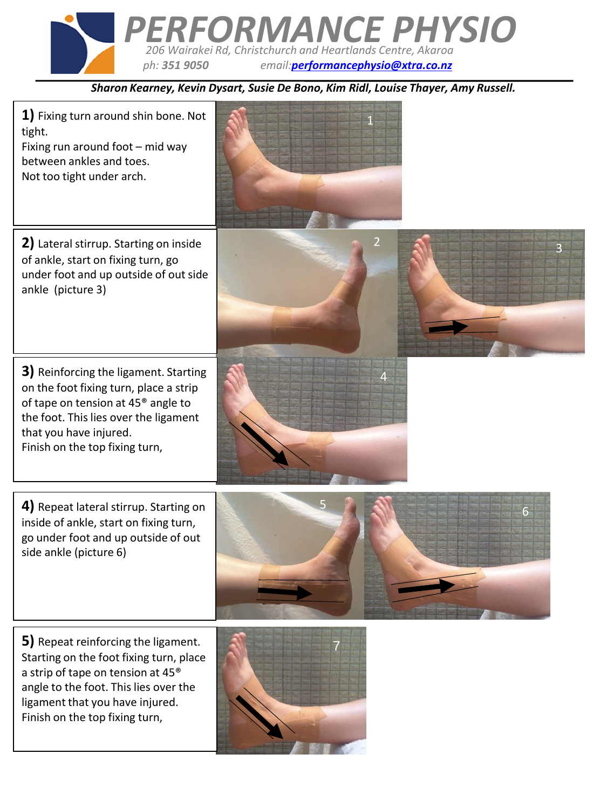

*Sharon Kearney, Kevin Dysart, Susie De Bono, Kim Ridl, Louise Thayer, Amy Russell.*



ligament that you have injured. Finish on the top fixing turn,